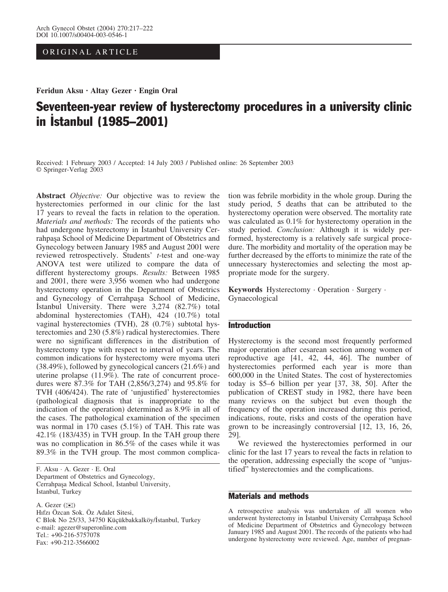ORIGINAL ARTICLE

Feridun Aksu · Altay Gezer · Engin Oral

# Seventeen-year review of hysterectomy procedures in a university clinic in **Istanbul (1985–2001)**

Received: 1 February 2003 / Accepted: 14 July 2003 / Published online: 26 September 2003 Springer-Verlag 2003

Abstract *Objective*: Our objective was to review the hysterectomies performed in our clinic for the last 17 years to reveal the facts in relation to the operation. Materials and methods: The records of the patients who had undergone hysterectomy in Istanbul University Cerrahpasa School of Medicine Department of Obstetrics and Gynecology between January 1985 and August 2001 were reviewed retrospectively. Students' t-test and one-way ANOVA test were utilized to compare the data of different hysterectomy groups. Results: Between 1985 and 2001, there were 3,956 women who had undergone hysterectomy operation in the Department of Obstetrics and Gynecology of Cerrahpaşa School of Medicine, İstanbul University. There were 3,274 (82.7%) total abdominal hysterectomies (TAH), 424 (10.7%) total vaginal hysterectomies (TVH), 28 (0.7%) subtotal hysterectomies and 230 (5.8%) radical hysterectomies. There were no significant differences in the distribution of hysterectomy type with respect to interval of years. The common indications for hysterectomy were myoma uteri (38.49%), followed by gynecological cancers (21.6%) and uterine prolapse (11.9%). The rate of concurrent procedures were 87.3% for TAH (2,856/3,274) and 95.8% for TVH (406/424). The rate of 'unjustified' hysterectomies (pathological diagnosis that is inappropriate to the indication of the operation) determined as 8.9% in all of the cases. The pathological examination of the specimen was normal in 170 cases (5.1%) of TAH. This rate was 42.1% (183/435) in TVH group. In the TAH group there was no complication in 86.5% of the cases while it was 89.3% in the TVH group. The most common complica-

F. Aksu · A. Gezer · E. Oral Department of Obstetrics and Gynecology, Cerrahpasa Medical School, Istanbul University, İstanbul, Turkey

A. Gezer ( $\bowtie$ ) Hıfzı Özcan Sok. Öz Adalet Sitesi, C Blok No 25/33, 34750 Küçükbakkalköy/İstanbul, Turkey e-mail: agezer@superonline.com Tel.: +90-216-5757078 Fax: +90-212-3566002

tion was febrile morbidity in the whole group. During the study period, 5 deaths that can be attributed to the hysterectomy operation were observed. The mortality rate was calculated as 0.1% for hysterectomy operation in the study period. Conclusion: Although it is widely performed, hysterectomy is a relatively safe surgical procedure. The morbidity and mortality of the operation may be further decreased by the efforts to minimize the rate of the unnecessary hysterectomies and selecting the most appropriate mode for the surgery.

Keywords Hysterectomy · Operation · Surgery · Gynaecological

## Introduction

Hysterectomy is the second most frequently performed major operation after cesarean section among women of reproductive age [41, 42, 44, 46]. The number of hysterectomies performed each year is more than 600,000 in the United States. The cost of hysterectomies today is \$5–6 billion per year [37, 38, 50]. After the publication of CREST study in 1982, there have been many reviews on the subject but even though the frequency of the operation increased during this period, indications, route, risks and costs of the operation have grown to be increasingly controversial [12, 13, 16, 26, 29].

We reviewed the hysterectomies performed in our clinic for the last 17 years to reveal the facts in relation to the operation, addressing especially the scope of "unjustified" hysterectomies and the complications.

## Materials and methods

A retrospective analysis was undertaken of all women who underwent hysterectomy in Istanbul University Cerrahpaşa School of Medicine Department of Obstetrics and Gynecology between January 1985 and August 2001. The records of the patients who had undergone hysterectomy were reviewed. Age, number of pregnan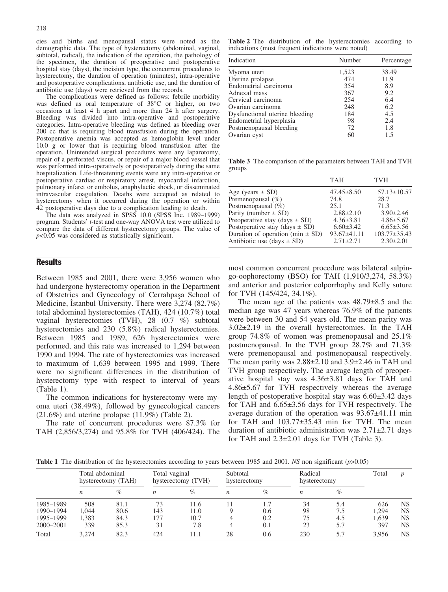cies and births and menopausal status were noted as the demographic data. The type of hysterectomy (abdominal, vaginal, subtotal, radical), the indication of the operation, the pathology of the specimen, the duration of preoperative and postoperative hospital stay (days), the incision type, the concurrent procedures to hysterectomy, the duration of operation (minutes), intra-operative and postoperative complications, antibiotic use, and the duration of antibiotic use (days) were retrieved from the records.

The complications were defined as follows: febrile morbidity was defined as oral temperature of 38°C or higher, on two occasions at least 4 h apart and more than 24 h after surgery. Bleeding was divided into intra-operative and postoperative categories. Intra-operative bleeding was defined as bleeding over 200 cc that is requiring blood transfusion during the operation. Postoperative anemia was accepted as hemoglobin level under 10.0 g or lower that is requiring blood transfusion after the operation. Unintended surgical procedures were any laparotomy, repair of a perforated viscus, or repair of a major blood vessel that was performed intra-operatively or postoperatively during the same hospitalization. Life-threatening events were any intra-operative or postoperative cardiac or respiratory arrest, myocardial infarction, pulmonary infarct or embolus, anaphylactic shock, or disseminated intravascular coagulation. Deaths were accepted as related to hysterectomy when it occurred during the operation or within 42 postoperative days due to a complication leading to death.

The data was analyzed in SPSS 10.0 (SPSS Inc. 1989–1999) program. Students' t-test and one-way ANOVA test were utilized to compare the data of different hysterectomy groups. The value of  $p<0.05$  was considered as statistically significant.

### **Results**

Between 1985 and 2001, there were 3,956 women who had undergone hysterectomy operation in the Department of Obstetrics and Gynecology of Cerrahpasa School of Medicine, Istanbul University. There were 3,274 (82.7%) total abdominal hysterectomies (TAH), 424 (10.7%) total vaginal hysterectomies (TVH), 28 (0.7 %) subtotal hysterectomies and 230 (5.8%) radical hysterectomies. Between 1985 and 1989, 626 hysterectomies were performed, and this rate was increased to 1,294 between 1990 and 1994. The rate of hysterectomies was increased to maximum of 1,639 between 1995 and 1999. There were no significant differences in the distribution of hysterectomy type with respect to interval of years (Table 1).

The common indications for hysterectomy were myoma uteri (38.49%), followed by gynecological cancers  $(21.6\%)$  and uterine prolapse  $(11.9\%)$  (Table 2).

The rate of concurrent procedures were 87.3% for TAH (2,856/3,274) and 95.8% for TVH (406/424). The

Table 2 The distribution of the hysterectomies according to indications (most frequent indications were noted)

| Indication                     | Number | Percentage |
|--------------------------------|--------|------------|
| Myoma uteri                    | 1,523  | 38.49      |
| Uterine prolapse               | 474    | 11.9       |
| Endometrial carcinoma          | 354    | 8.9        |
| Adnexal mass                   | 367    | 9.2        |
| Cervical carcinoma             | 254    | 6.4        |
| Ovarian carcinoma              | 248    | 6.2        |
| Dysfunctional uterine bleeding | 184    | 4.5        |
| Endometrial hyperplasia        | 98     | 2.4        |
| Postmenopausal bleeding        | 72     | 1.8        |
| Ovarian cyst                   | 60     | 1.5        |

Table 3 The comparison of the parameters between TAH and TVH groups

|                                      | <b>TAH</b>        | <b>TVH</b>         |
|--------------------------------------|-------------------|--------------------|
| Age (years $\pm$ SD)                 | $47.45 \pm 8.50$  | $57.13 \pm 10.57$  |
| Premenopausal $(\%)$                 | 74.8              | 28.7               |
| Postmenopausal $(\%)$                | 25.1              | 71.3               |
| Parity (number $\pm$ SD)             | $2.88 \pm 2.10$   | $3.90 \pm 2.46$    |
| Preoperative stay (days $\pm$ SD)    | $4.36 \pm 3.81$   | $4.86 \pm 5.67$    |
| Postoperative stay (days $\pm$ SD)   | $6.60 \pm 3.42$   | $6.65 \pm 3.56$    |
| Duration of operation (min $\pm$ SD) | $93.67 \pm 41.11$ | $103.77 \pm 35.43$ |
| Antibiotic use $(days \pm SD)$       | $2.71 \pm 2.71$   | $2.30 \pm 2.01$    |

most common concurrent procedure was bilateral salpingo-oophorectomy (BSO) for TAH (1,910/3,274, 58.3%) and anterior and posterior colporrhaphy and Kelly suture for TVH (145/424, 34.1%).

The mean age of the patients was  $48.79\pm8.5$  and the median age was 47 years whereas 76.9% of the patients were between 30 and 54 years old. The mean parity was  $3.02\pm2.19$  in the overall hysterectomies. In the TAH group 74.8% of women was premenopausal and 25.1% postmenopausal. In the TVH group 28.7% and 71.3% were premenopausal and postmenopausal respectively. The mean parity was  $2.88\pm2.10$  and  $3.9\pm2.46$  in TAH and TVH group respectively. The average length of preoperative hospital stay was  $4.36\pm3.81$  days for TAH and  $4.86\pm5.67$  for TVH respectively whereas the average length of postoperative hospital stay was  $6.60\pm3.42$  days for TAH and  $6.65\pm3.56$  days for TVH respectively. The average duration of the operation was  $93.67\pm41.11$  min for TAH and  $103.77\pm35.43$  min for TVH. The mean duration of antibiotic administration was  $2.71\pm2.71$  days for TAH and  $2.3\pm2.01$  days for TVH (Table 3).

**Table 1** The distribution of the hysterectomies according to years between 1985 and 2001. NS non significant ( $p$ >0.05)

|                                                  | Total abdominal<br>hysterectomy (TAH) |                              | Total vaginal<br>hysterectomy (TVH) |                             | Subtotal<br>hysterectomy |                          | Radical<br>hysterectomy |                   | Total                        |                                                  |
|--------------------------------------------------|---------------------------------------|------------------------------|-------------------------------------|-----------------------------|--------------------------|--------------------------|-------------------------|-------------------|------------------------------|--------------------------------------------------|
|                                                  | n                                     | $\%$                         | n                                   | $\%$                        | $\boldsymbol{n}$         | $\%$                     | n                       | $\%$              |                              |                                                  |
| 1985-1989<br>1990-1994<br>1995-1999<br>2000-2001 | 508<br>1.044<br>1,383<br>339          | 81.1<br>80.6<br>84.3<br>85.3 | 73<br>143<br>177<br>31              | 11.6<br>11.0<br>10.7<br>7.8 |                          | 1.7<br>0.6<br>0.2<br>0.1 | 34<br>98<br>75<br>23    | 5.4<br>4.5<br>5.7 | 626<br>1.294<br>1.639<br>397 | <b>NS</b><br><b>NS</b><br><b>NS</b><br><b>NS</b> |
| Total                                            | 3.274                                 | 82.3                         | 424                                 | 11.1                        | 28                       | 0.6                      | 230                     | 5.7               | 3.956                        | <b>NS</b>                                        |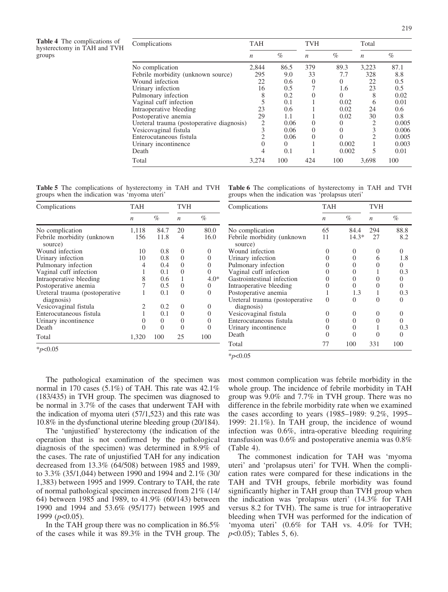| Complications                             | <b>TAH</b>       |          | <b>TVH</b>       |          | Total            |       |
|-------------------------------------------|------------------|----------|------------------|----------|------------------|-------|
|                                           | $\boldsymbol{n}$ | $\%$     | $\boldsymbol{n}$ | $\%$     | $\boldsymbol{n}$ | $\%$  |
| No complication                           | 2,844            | 86.5     | 379              | 89.3     | 3,223            | 87.1  |
| Febrile morbidity (unknown source)        | 295              | 9.0      | 33               | 7.7      | 328              | 8.8   |
| Wound infection                           | 22               | 0.6      | $\Omega$         | $\Omega$ | 22               | 0.5   |
| Urinary infection                         | 16               | 0.5      |                  | 1.6      | 23               | 0.5   |
| Pulmonary infection                       |                  | 0.2      |                  | $\Omega$ | 8                | 0.02  |
| Vaginal cuff infection                    |                  | 0.1      |                  | 0.02     | 6                | 0.01  |
| Intraoperative bleeding                   | 23               | 0.6      |                  | 0.02     | 24               | 0.6   |
| Postoperative anemia                      | 29               | 1.1      |                  | 0.02     | 30               | 0.8   |
| Ureteral trauma (postoperative diagnosis) | 2                | 0.06     | $\Omega$         | $\theta$ | $\overline{c}$   | 0.005 |
| Vesicovaginal fistula                     |                  | 0.06     | $\Omega$         | $\Omega$ |                  | 0.006 |
| Enterocutaneous fistula                   |                  | 0.06     | $\theta$         | 0        |                  | 0.005 |
| Urinary incontinence                      |                  | $\Omega$ |                  | 0.002    |                  | 0.003 |
| Death                                     |                  | 0.1      |                  | 0.002    |                  | 0.01  |
| Total                                     | 3.274            | 100      | 424              | 100      | 3,698            | 100   |

Table 5 The complications of hysterectomy in TAH and TVH groups when the indication was 'myoma uteri'

| Complications                                | <b>TAH</b>       |          | TVH               |        |
|----------------------------------------------|------------------|----------|-------------------|--------|
|                                              | $\boldsymbol{n}$ | %        | $\boldsymbol{n}$  | %      |
| No complication                              | 1,118            | 84.7     | 20                | 80.0   |
| Febrile morbidity (unknown<br>source)        | 156              | 11.8     | 4                 | 16.0   |
| Wound infection                              | 10               | 0.8      | $\mathbf{\Omega}$ | 0      |
| Urinary infection                            | 10               | 0.8      | $\mathbf{0}$      | 0      |
| Pulmonary infection                          | 4                | 0.4      | $\mathbf{0}$      | 0      |
| Vaginal cuff infection                       |                  | 0.1      | $\mathbf{0}$      | 0      |
| Intraoperative bleeding                      | 8                | 0.6      |                   | $4.0*$ |
| Postoperative anemia                         |                  | 0.5      | 0                 | 0      |
| Ureteral trauma (postoperative<br>diagnosis) |                  | 0.1      | $\mathbf{0}$      | 0      |
| Vesicovaginal fistula                        | 2                | 0.2      | $\mathbf{0}$      | 0      |
| Enterocutaneous fistula                      |                  | 0.1      | $\mathbf{\Omega}$ |        |
| Urinary incontinence                         | $\mathbf{0}$     | $\theta$ | $\mathbf{0}$      |        |
| Death                                        | 0                | 0        | $\mathbf{\Omega}$ |        |
| Total                                        | 1,320            | 100      | 25                | 100    |

 $*_{p<0.05}$ 

Table 6 The complications of hysterectomy in TAH and TVH groups when the indication was 'prolapsus uteri'

| Complications                                | TAH               |                   | TVH              |                   |
|----------------------------------------------|-------------------|-------------------|------------------|-------------------|
|                                              | $\boldsymbol{n}$  | $\%$              | $\boldsymbol{n}$ | %                 |
| No complication                              | 65                | 84.4              | 294              | 88.8              |
| Febrile morbidity (unknown<br>source)        | 11                | $14.3*$           | 27               | 8.2               |
| Wound infection                              | $\mathbf{\Omega}$ | $\mathbf{\Omega}$ | $\left( \right)$ | $\mathbf{\Omega}$ |
| Urinary infection                            |                   |                   | 6                | 1.8               |
| Pulmonary infection                          |                   | $\mathbf{\Omega}$ |                  | $\mathbf{0}$      |
| Vaginal cuff infection                       |                   | 0                 |                  | 0.3               |
| Gastrointestinal infection                   |                   | 0                 |                  | 0                 |
| Intraoperative bleeding                      |                   |                   |                  | 0                 |
| Postoperative anemia                         |                   | 1.3               |                  | 0.3               |
| Ureteral trauma (postoperative<br>diagnosis) | $\mathbf{\Omega}$ | 0                 |                  |                   |
| Vesicovaginal fistula                        | $\theta$          | $\mathbf{\Omega}$ | $\left( \right)$ | $\theta$          |
| Enterocutaneous fistula                      |                   |                   |                  |                   |
| Urinary incontinence                         | $\mathbf{0}$      |                   |                  | 0.3               |
| Death                                        |                   |                   |                  |                   |
| Total                                        | 77                | 100               | 331              | 100               |

 $*_{p<0.05}$ 

The pathological examination of the specimen was normal in 170 cases (5.1%) of TAH. This rate was 42.1% (183/435) in TVH group. The specimen was diagnosed to be normal in 3.7% of the cases that underwent TAH with the indication of myoma uteri (57/1,523) and this rate was 10.8% in the dysfunctional uterine bleeding group (20/184).

The 'unjustified' hysterectomy (the indication of the operation that is not confirmed by the pathological diagnosis of the specimen) was determined in 8.9% of the cases. The rate of unjustified TAH for any indication decreased from 13.3% (64/508) between 1985 and 1989, to 3.3% (35/1,044) between 1990 and 1994 and 2.1% (30/ 1,383) between 1995 and 1999. Contrary to TAH, the rate of normal pathological specimen increased from 21% (14/ 64) between 1985 and 1989, to 41.9% (60/143) between 1990 and 1994 and 53.6% (95/177) between 1995 and 1999 ( $p<0.05$ ).

In the TAH group there was no complication in 86.5% of the cases while it was 89.3% in the TVH group. The most common complication was febrile morbidity in the whole group. The incidence of febrile morbidity in TAH group was 9.0% and 7.7% in TVH group. There was no difference in the febrile morbidity rate when we examined the cases according to years (1985–1989: 9.2%, 1995– 1999: 21.1%). In TAH group, the incidence of wound infection was 0.6%, intra-operative bleeding requiring transfusion was 0.6% and postoperative anemia was 0.8% (Table 4).

The commonest indication for TAH was 'myoma uteri' and 'prolapsus uteri' for TVH. When the complication rates were compared for these indications in the TAH and TVH groups, febrile morbidity was found significantly higher in TAH group than TVH group when the indication was 'prolapsus uteri' (14.3% for TAH versus 8.2 for TVH). The same is true for intraoperative bleeding when TVH was performed for the indication of 'myoma uteri' (0.6% for TAH vs. 4.0% for TVH;  $p<0.05$ ); Tables 5, 6).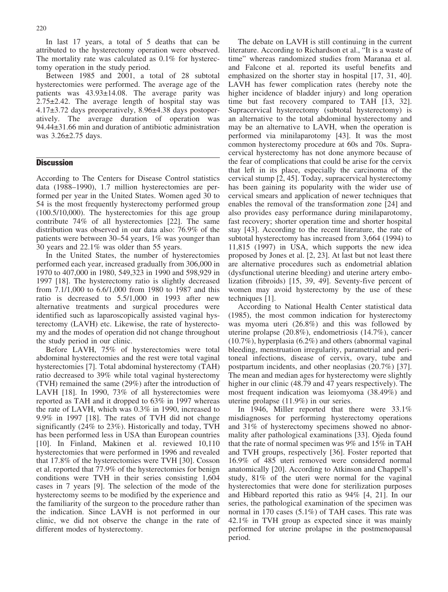In last 17 years, a total of 5 deaths that can be attributed to the hysterectomy operation were observed. The mortality rate was calculated as 0.1% for hysterectomy operation in the study period.

Between 1985 and 2001, a total of 28 subtotal hysterectomies were performed. The average age of the patients was  $43.93 \pm 14.08$ . The average parity was  $2.75\pm2.42$ . The average length of hospital stay was  $4.17\pm3.72$  days preoperatively,  $8.96\pm4.38$  days postoperatively. The average duration of operation was 94.44€31.66 min and duration of antibiotic administration was  $3.26 \pm 2.75$  days.

## **Discussion**

According to The Centers for Disease Control statistics data (1988–1990), 1.7 million hysterectomies are performed per year in the United States. Women aged 30 to 54 is the most frequently hysterectomy performed group (100.5/10,000). The hysterectomies for this age group contribute 74% of all hysterectomies [22]. The same distribution was observed in our data also: 76.9% of the patients were between 30–54 years, 1% was younger than 30 years and 22.1% was older than 55 years.

In the United States, the number of hysterectomies performed each year, increased gradually from 306,000 in 1970 to 407,000 in 1980, 549,323 in 1990 and 598,929 in 1997 [18]. The hysterectomy ratio is slightly decreased from 7.1/1,000 to 6.6/1,000 from 1980 to 1987 and this ratio is decreased to 5.5/1,000 in 1993 after new alternative treatments and surgical procedures were identified such as laparoscopically assisted vaginal hysterectomy (LAVH) etc. Likewise, the rate of hysterectomy and the modes of operation did not change throughout the study period in our clinic.

Before LAVH, 75% of hysterectomies were total abdominal hysterectomies and the rest were total vaginal hysterectomies [7]. Total abdominal hysterectomy (TAH) ratio decreased to 39% while total vaginal hysterectomy (TVH) remained the same (29%) after the introduction of LAVH [18]. In 1990, 73% of all hysterectomies were reported as TAH and it dropped to 63% in 1997 whereas the rate of LAVH, which was 0.3% in 1990, increased to 9.9% in 1997 [18]. The rates of TVH did not change significantly (24% to 23%). Historically and today, TVH has been performed less in USA than European countries [10]. In Finland, Makinen et al. reviewed 10,110 hysterectomies that were performed in 1996 and revealed that 17.8% of the hysterectomies were TVH [30]. Cosson et al. reported that 77.9% of the hysterectomies for benign conditions were TVH in their series consisting 1,604 cases in 7 years [9]. The selection of the mode of the hysterectomy seems to be modified by the experience and the familiarity of the surgeon to the procedure rather than the indication. Since LAVH is not performed in our clinic, we did not observe the change in the rate of different modes of hysterectomy.

The debate on LAVH is still continuing in the current literature. According to Richardson et al., "It is a waste of time" whereas randomized studies from Maranaa et al. and Falcone et al. reported its useful benefits and emphasized on the shorter stay in hospital [17, 31, 40]. LAVH has fewer complication rates (hereby note the higher incidence of bladder injury) and long operation time but fast recovery compared to TAH [13, 32]. Supracervical hysterectomy (subtotal hysterectomy) is an alternative to the total abdominal hysterectomy and may be an alternative to LAVH, when the operation is performed via minilaparotomy [43]. It was the most common hysterectomy procedure at 60s and 70s. Supracervical hysterectomy has not done anymore because of the fear of complications that could be arise for the cervix that left in its place, especially the carcinoma of the cervical stump [2, 45]. Today, supracervical hysterectomy has been gaining its popularity with the wider use of cervical smears and application of newer techniques that enables the removal of the transformation zone [24] and also provides easy performance during minilaparotomy, fast recovery; shorter operation time and shorter hospital stay [43]. According to the recent literature, the rate of subtotal hysterectomy has increased from 3,664 (1994) to 11,815 (1997) in USA, which supports the new idea proposed by Jones et al. [2, 23]. At last but not least there are alternative procedures such as endometrial ablation (dysfunctional uterine bleeding) and uterine artery embolization (fibroids) [15, 39, 49]. Seventy-five percent of women may avoid hysterectomy by the use of these techniques [1].

According to National Health Center statistical data (1985), the most common indication for hysterectomy was myoma uteri (26.8%) and this was followed by uterine prolapse (20.8%), endometriosis (14.7%), cancer (10.7%), hyperplasia (6.2%) and others (abnormal vaginal bleeding, menstruation irregularity, parametrial and peritoneal infections, disease of cervix, ovary, tube and postpartum incidents, and other neoplasias (20.7%) [37]. The mean and median ages for hysterectomy were slightly higher in our clinic (48.79 and 47 years respectively). The most frequent indication was leiomyoma (38.49%) and uterine prolapse (11.9%) in our series.

In 1946, Miller reported that there were 33.1% misdiagnoses for performing hysterectomy operations and 31% of hysterectomy specimens showed no abnormality after pathological examinations [33]. Ojeda found that the rate of normal specimen was 9% and 15% in TAH and TVH groups, respectively [36]. Foster reported that 16.9% of 485 uteri removed were considered normal anatomically [20]. According to Atkinson and Chappell's study, 81% of the uteri were normal for the vaginal hysterectomies that were done for sterilization purposes and Hibbard reported this ratio as 94% [4, 21]. In our series, the pathological examination of the specimen was normal in 170 cases (5.1%) of TAH cases. This rate was 42.1% in TVH group as expected since it was mainly performed for uterine prolapse in the postmenopausal period.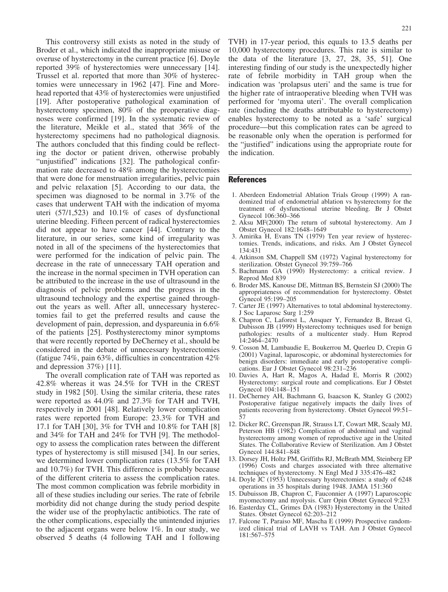This controversy still exists as noted in the study of Broder et al., which indicated the inappropriate misuse or overuse of hysterectomy in the current practice [6]. Doyle reported 39% of hysterectomies were unnecessary [14]. Trussel et al. reported that more than 30% of hysterectomies were unnecessary in 1962 [47]. Fine and Morehead reported that 43% of hysterectomies were unjustified [19]. After postoperative pathological examination of hysterectomy specimen, 80% of the preoperative diagnoses were confirmed [19]. In the systematic review of the literature, Meikle et al., stated that 36% of the hysterectomy specimens had no pathological diagnosis. The authors concluded that this finding could be reflecting the doctor or patient driven, otherwise probably "unjustified" indications [32]. The pathological confirmation rate decreased to 48% among the hysterectomies that were done for menstruation irregularities, pelvic pain and pelvic relaxation [5]. According to our data, the specimen was diagnosed to be normal in 3.7% of the cases that underwent TAH with the indication of myoma uteri (57/1,523) and 10.1% of cases of dysfunctional uterine bleeding. Fifteen percent of radical hysterectomies did not appear to have cancer [44]. Contrary to the literature, in our series, some kind of irregularity was noted in all of the specimens of the hysterectomies that were performed for the indication of pelvic pain. The decrease in the rate of unnecessary TAH operation and the increase in the normal specimen in TVH operation can be attributed to the increase in the use of ultrasound in the diagnosis of pelvic problems and the progress in the ultrasound technology and the expertise gained throughout the years as well. After all, unnecessary hysterectomies fail to get the preferred results and cause the development of pain, depression, and dyspareunia in 6.6% of the patients [25]. Posthysterectomy minor symptoms that were recently reported by DeCherney et al., should be considered in the debate of unnecessary hysterectomies (fatigue 74%, pain 63%, difficulties in concentration 42% and depression 37%) [11].

The overall complication rate of TAH was reported as 42.8% whereas it was 24.5% for TVH in the CREST study in 1982 [50]. Using the similar criteria, these rates were reported as 44.0% and 27.3% for TAH and TVH, respectively in 2001 [48]. Relatively lower complication rates were reported from Europe: 23.3% for TVH and 17.1 for TAH [30], 3% for TVH and 10.8% for TAH [8] and 34% for TAH and 24% for TVH [9]. The methodology to assess the complication rates between the different types of hysterectomy is still misused [34]. In our series, we determined lower complication rates (13.5% for TAH and 10.7%) for TVH. This difference is probably because of the different criteria to assess the complication rates. The most common complication was febrile morbidity in all of these studies including our series. The rate of febrile morbidity did not change during the study period despite the wider use of the prophylactic antibiotics. The rate of the other complications, especially the unintended injuries to the adjacent organs were below 1%. In our study, we observed 5 deaths (4 following TAH and 1 following TVH) in 17-year period, this equals to 13.5 deaths per 10,000 hysterectomy procedures. This rate is similar to the data of the literature [3, 27, 28, 35, 51]. One interesting finding of our study is the unexpectedly higher rate of febrile morbidity in TAH group when the indication was 'prolapsus uteri' and the same is true for the higher rate of intraoperative bleeding when TVH was performed for 'myoma uteri'. The overall complication rate (including the deaths attributable to hysterectomy) enables hysterectomy to be noted as a 'safe' surgical procedure—but this complication rates can be agreed to be reasonable only when the operation is performed for the "justified" indications using the appropriate route for the indication.

#### References

- 1. Aberdeen Endometrial Ablation Trials Group (1999) A randomized trial of endometrial ablation vs hysterectomy for the treatment of dysfunctional uterine bleeding. Br J Obstet Gynecol 106:360–366
- 2. Aksu MF(2000) The return of subtotal hysterectomy. Am J Obstet Gynecol 182:1648–1649
- 3. Amirika H, Evans TN (1979) Ten year review of hysterectomies. Trends, indications, and risks. Am J Obstet Gynecol 134:431
- 4. Atkinson SM, Chappell SM (1972) Vaginal hysterectomy for sterilization. Obstet Gynecol 39:759–766
- 5. Bachmann GA (1990) Hysterectomy: a critical review. J Reprod Med 839
- 6. Broder MS, Kanouse DE, Mittman BS, Bernstein SJ (2000) The appropriateness of recommendation for hysterectomy. Obstet Gynecol 95:199–205
- 7. Carter JE (1997) Alternatives to total abdominal hysterectomy. J Soc Laparosc Surg 1:259
- 8. Chapron C, Laforest L, Ansquer Y, Fernandez B, Breast G, Dubisson JB (1999) Hysterectomy techniques used for benign pathologies: results of a multicenter study. Hum Reprod 14:2464–2470
- 9. Cosson M, Lambaudie E, Boukerrou M, Querleu D, Crepin G (2001) Vaginal, laparoscopic, or abdominal hysterectomies for benign disorders: immediate and early postoperative complications. Eur J Obstet Gynecol 98:231–236
- 10. Davies A, Hart R, Magos A, Hadad E, Morris R (2002) Hysterectomy: surgical route and complications. Eur J Obstet Gynecol 104:148–151
- 11. DeCherney AH, Bachmann G, Isaacson K, Stanley G (2002) Postoperative fatigue negatively impacts the daily lives of patients recovering from hysterectomy. Obstet Gynecol 99:51– 57
- 12. Dicker RC, Greenspan JR, Strauss LT, Cowart MR, Scaaly MJ, Peterson HB (1982) Complication of abdominal and vaginal hysterectomy among women of reproductive age in the United States. The Collaborative Review of Sterilization. Am J Obstet Gynecol 144:841–848
- 13. Dorsey JH, Holtz PM, Griffiths RJ, McBrath MM, Steinberg EP (1996) Costs and charges associated with three alternative techniques of hysterectomy. N Engl Med J 335:476–482
- 14. Doyle JC (1953) Unnecessary hysterectomies: a study of 6248 operations in 35 hospitals during 1948. JAMA 151:360
- 15. Dubuisson JB, Chapron C, Fauconnier A (1997) Laparoscopic myomectomy and myolysis. Curr Opin Obstet Gynecol 9:233
- 16. Easterday CL, Grimes DA (1983) Hysterectomy in the United States. Obstet Gynecol 62:203–212
- 17. Falcone T, Paraiso MF, Mascha E (1999) Prospective randomized clinical trial of LAVH vs TAH. Am J Obstet Gynecol 181:567–575